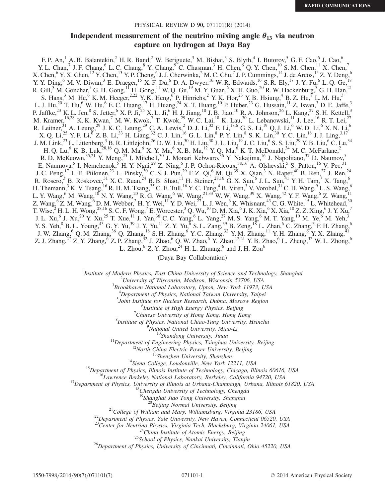### PHYSICAL REVIEW D 90, 071101(R) (2014)

# Independent measurement of the neutrino mixing angle  $\theta_{13}$  via neutron capture on hydrogen at Daya Bay capture on hydrogen at Daya Bay

F. P. An,<sup>1</sup> A. B. Balantekin,<sup>2</sup> H. R. Band,<sup>2</sup> W. Beriguete,<sup>3</sup> M. Bishai,<sup>3</sup> S. Blyth,<sup>4</sup> I. Butorov,<sup>5</sup> G. F. Cao,<sup>6</sup> J. Cao,<sup>6</sup> Y. L. Chan,<sup>7</sup> J. F. Chang,<sup>6</sup> L. C. Chang,<sup>8</sup> Y. Chang,<sup>9</sup> C. Chasman,<sup>3</sup> H. Chen,<sup>6</sup> Q. Y. Chen,<sup>10</sup> S. M. Chen,<sup>11</sup> X. Chen,<sup>7</sup> X. Chen,  $K^6$  Y. X. Chen,  $12$  Y. Chen,  $13$  Y. P. Cheng,  $6$  J. J. Cherwinka,  $2$  M. C. Chu,  $7$  J. P. Cummings,  $14$  J. de Arcos,  $15$  Z. Y. Deng,  $6$ Y. Y. Ding,  $6$  M. V. Diwan,  $3$  E. Draeger,  $15$  X. F. Du,  $6$  D. A. Dwyer,  $16$  W. R. Edwards,  $16$  S. R. Ely,  $17$  J. Y. Fu,  $6$  L. Q. Ge,  $18$ R. Gill,<sup>3</sup> M. Gonchar,<sup>5</sup> G. H. Gong,<sup>11</sup> H. Gong,<sup>11</sup> W. Q. Gu,<sup>19</sup> M. Y. Guan,<sup>6</sup> X. H. Guo,<sup>20</sup> R. W. Hackenburg,<sup>3</sup> G. H. Han,<sup>21</sup> S. Hans,<sup>3</sup> M. He,<sup>6</sup> K. M. Heeger,<sup>2,22</sup> Y. K. Heng,<sup>6</sup> P. Hinrichs,<sup>2</sup> Y. K. Hor,<sup>23</sup> Y. B. Hsiung,<sup>4</sup> B. Z. Hu,<sup>8</sup> L. M. Hu,<sup>3</sup> L. J. Hu,<sup>20</sup> T. Hu,<sup>6</sup> W. Hu,<sup>6</sup> E. C. Huang,<sup>17</sup> H. Huang,<sup>24</sup> X. T. Huang,<sup>10</sup> P. Huber,<sup>23</sup> G. Hussain,<sup>11</sup> Z. Isvan,<sup>3</sup> D. E. Jaffe,<sup>3</sup> P. Jaffke,<sup>23</sup> K. L. Jen,<sup>8</sup> S. Jetter,<sup>6</sup> X. P. Ji,<sup>25</sup> X. L. Ji,<sup>6</sup> H. J. Jiang,<sup>18</sup> J. B. Jiao,<sup>10</sup> R. A. Johnson,<sup>26</sup> L. Kang,<sup>27</sup> S. H. Kettell,<sup>3</sup> M. Kramer,  $16,28$  K. K. Kwan, <sup>7</sup> M. W. Kwok, <sup>7</sup> T. Kwok,  $29$  W. C. Lai,  $18$  K. Lau,  $30$  L. Lebanowski,  $11$  J. Lee,  $16$  R. T. Lei,  $27$ R. Leitner,<sup>31</sup> A. Leung,<sup>29</sup> J. K. C. Leung,<sup>29</sup> C. A. Lewis,<sup>2</sup> D. J. Li,<sup>32</sup> F. Li,<sup>18,6</sup> G. S. Li,<sup>19</sup> Q. J. Li,<sup>6</sup> W. D. Li,<sup>6</sup> X. N. Li,<sup>6</sup>  $X. Q. Li,^{25} Y. F. Li,^{6} Z. B. Li,^{33} H. Liang,^{32} C. J. Lin,^{16} G. L. Lin,^{8} P. Y. Lin,^{8} S. K. Lin,^{30} Y. C. Lin,^{18} J. J. Ling,^{3,17}$ J. M. Link,<sup>23</sup> L. Littenberg,<sup>3</sup> B. R. Littlejohn,<sup>26</sup> D. W. Liu,<sup>30</sup> H. Liu,<sup>30</sup> J. L. Liu,<sup>19</sup> J. C. Liu,<sup>6</sup> S. S. Liu,<sup>29</sup> Y. B. Liu,<sup>6</sup> C. Lu,<sup>34</sup> H. Q. Lu,<sup>6</sup> K. B. Luk,<sup>28,16</sup> Q. M. Ma,<sup>6</sup> X. Y. Ma,<sup>6</sup> X. B. Ma,<sup>12</sup> Y. Q. Ma,<sup>6</sup> K. T. McDonald,<sup>34</sup> M. C. McFarlane,<sup>2</sup> R. D. McKeown,<sup>35,21</sup> Y. Meng,<sup>23</sup> I. Mitchell,<sup>30</sup> J. Monari Kebwaro,<sup>36</sup> Y. Nakajima,<sup>16</sup> J. Napolitano,<sup>37</sup> D. Naumov,<sup>5</sup> E. Naumova,<sup>5</sup> I. Nemchenok,<sup>5</sup> H. Y. Ngai,<sup>29</sup> Z. Ning,<sup>6</sup> J. P. Ochoa-Ricoux,<sup>38,16</sup> A. Olshevski,<sup>5</sup> S. Patton,<sup>16</sup> V. Pec,<sup>31</sup> J. C. Peng,<sup>17</sup> L. E. Piilonen,<sup>23</sup> L. Pinsky,<sup>30</sup> C. S. J. Pun,<sup>29</sup> F. Z. Qi,<sup>6</sup> M. Qi,<sup>39</sup> X. Qian,<sup>3</sup> N. Raper,<sup>40</sup> B. Ren,<sup>27</sup> J. Ren,<sup>24</sup> R. Rosero,<sup>3</sup> B. Roskovec,<sup>31</sup> X. C. Ruan,<sup>24</sup> B. B. Shao,<sup>11</sup> H. Steiner,<sup>28,16</sup> G. X. Sun,<sup>6</sup> J. L. Sun,<sup>41</sup> Y. H. Tam,<sup>7</sup> X. Tang,<sup>6</sup> H. Themann,<sup>3</sup> K. V. Tsang,<sup>16</sup> R. H. M. Tsang,<sup>35</sup> C. E. Tull,<sup>16</sup> Y. C. Tung,<sup>4</sup> B. Viren,<sup>3</sup> V. Vorobel,<sup>31</sup> C. H. Wang,<sup>9</sup> L. S. Wang,<sup>6</sup> L. Y. Wang,<sup>6</sup> M. Wang,<sup>10</sup> N. Y. Wang,<sup>20</sup> R. G. Wang,<sup>6</sup> W. Wang,<sup>21,33</sup> W. W. Wang,<sup>39</sup> X. Wang,<sup>42</sup> Y. F. Wang,<sup>6</sup> Z. Wang,<sup>11</sup> Z. Wang,  ${}^{6}$  Z. M. Wang,  ${}^{6}$  D. M. Webber,  ${}^{2}$  H. Y. Wei,  ${}^{17}$  Y. D. Wei,  ${}^{27}$  L. J. Wen,  ${}^{6}$  K. Whisnant,  ${}^{43}$  C. G. White,  ${}^{15}$  L. Whitehead,  ${}^{30}$ T. Wise,  $^2$  H. L. H. Wong,  $^{28,16}$  S. C. F. Wong,  $^7$  E. Worcester,  $^3$  Q. Wu,  $^{10}$  D. M. Xia,  $^6$  J. K. Xia,  $^6$  X. Xia,  $^{10}$  Z. Z. Xing,  $^6$  J. Y. Xu,  $^7$ J. L. Xu,<sup>6</sup> J. Xu,<sup>20</sup> Y. Xu,<sup>25</sup> T. Xue,<sup>11</sup> J. Yan,<sup>36</sup> C. C. Yang,<sup>6</sup> L. Yang,<sup>27</sup> M. S. Yang,<sup>6</sup> M. T. Yang,<sup>10</sup> M. Ye,<sup>6</sup> M. Yeh,<sup>3</sup> Y. S. Yeh,  $8$  B. L. Young,  $43$  G. Y. Yu,  $39$  J. Y. Yu,  $^{11}$  Z. Y. Yu,  $^{6}$  S. L. Zang,  $39$  B. Zeng,  $18$  L. Zhan,  $6$  C. Zhang,  $3$  F. H. Zhang,  $6$ J. W. Zhang,<sup>6</sup> Q. M. Zhang,<sup>36</sup> Q. Zhang,<sup>18</sup> S. H. Zhang,<sup>6</sup> Y. C. Zhang,<sup>32</sup> Y. M. Zhang,<sup>11</sup> Y. H. Zhang,<sup>6</sup> Y. X. Zhang,<sup>41</sup> Z. J. Zhang, $^{27}$  Z. Y. Zhang,  $^{6}$  Z. P. Zhang, $^{32}$  J. Zhao,  $^{6}$  Q. W. Zhao,  $^{6}$  Y. Zhao,  $^{12,21}$  Y. B. Zhao,  $^{6}$  L. Zheng,  $^{32}$  W. L. Zhong,  $^{6}$ L. Zhou,  $6$  Z. Y. Zhou, $24$  H. L. Zhuang,  $6$  and J. H. Zou $6$ 

(Daya Bay Collaboration)

<sup>1</sup>Institute of Modern Physics, East China University of Science and Technology, Shanghai

 $12$ University of Wisconsin, Madison, Wisconsin 53706, USA

 ${}^{3}$ Brookhaven National Laboratory, Upton, New York 11973, USA

 ${}^{4}$ Department of Physics, National Taiwan University, Taipei

 $5$ Joint Institute for Nuclear Research, Dubna, Moscow Region

 $<sup>6</sup>$ Institute of High Energy Physics, Beijing</sup>

 $\alpha$ <sup>7</sup>Chinese University of Hong Kong, Hong Kong

<sup>8</sup>Institute of Physics, National Chiao-Tung University, Hsinchu<br><sup>9</sup>National United University, Miao-Li

<sup>11</sup>Department of Engineering Physics, Tsinghua University, Beijing<br><sup>11</sup>Department of Engineering Physics, Tsinghua University, Beijing<br><sup>12</sup>North China Electric Power University, Beijing<br><sup>13</sup>Shenzhen University, Shenzhen<br>

<sup>20</sup>Beijing Normal University, Beijing<br><sup>21</sup>College of William and Mary, Williamsburg, Virginia 23186, USA <sup>22</sup>Department of Physics, Yale University, New Haven, Connecticut 06520, USA

<sup>23</sup>Center for Neutrino Physics, Virginia Tech, Blacksburg, Virginia 24061, USA<br><sup>24</sup>China Institute of Atomic Energy, Beijing<br><sup>25</sup>School of Physics, Nankai University, Tianjin<sup>26</sup>Department of Physics, University of Cinci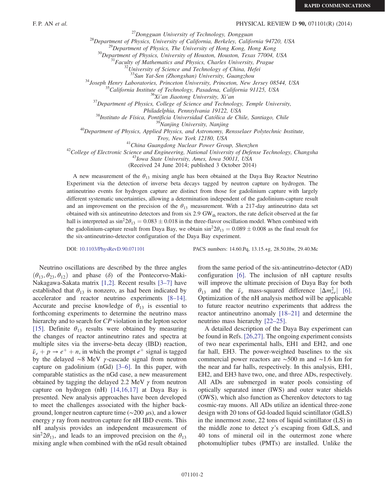### F. P. AN *et al.* PHYSICAL REVIEW D **90**, 071101(R) (2014)

<sup>27</sup>Dongguan University of Technology, Dongguan<br><sup>28</sup>Department of Physics, University of California, Berkeley, California 94720, USA<br><sup>29</sup>Department of Physics, The University of Hong Kong, Hong Kong<br><sup>30</sup>Department of Phys

<sup>34</sup>Joseph Henry Laboratories, Princeton University, Princeton, New Jersey 08544, USA<br><sup>35</sup>California Institute of Technology, Pasadena, California 91125, USA<br><sup>36</sup>Xi'an Jiaotong University, Xi'an<br><sup>37</sup>Department of Physics,

Philadelphia, Pennsylvania 19122, USA<br><sup>38</sup>Instituto de Física, Pontificia Universidad Católica de Chile, Santiago, Chile<br><sup>39</sup>Nanjing University, Nanjing<br><sup>40</sup>Department of Physics, Applied Physics, and Astronomy, Rensselaer

Troy, New York 12180, USA<br><sup>41</sup>China Guangdong Nuclear Power Group, Shenzhen<br><sup>42</sup>College of Electronic Science and Engineering, National University of Defense Technology, Changsha<br><sup>43</sup>Iowa State University, Ames, Iowa 50011

(Received 24 June 2014; published 3 October 2014)

A new measurement of the  $\theta_{13}$  mixing angle has been obtained at the Daya Bay Reactor Neutrino Experiment via the detection of inverse beta decays tagged by neutron capture on hydrogen. The antineutrino events for hydrogen capture are distinct from those for gadolinium capture with largely different systematic uncertainties, allowing a determination independent of the gadolinium-capture result and an improvement on the precision of the  $\theta_{13}$  measurement. With a 217-day antineutrino data set obtained with six antineutrino detectors and from six 2.9  $GW<sub>th</sub>$  reactors, the rate deficit observed at the far hall is interpreted as  $\sin^2 2\theta_{13} = 0.083 \pm 0.018$  in the three-flavor oscillation model. When combined with the gadolinium-capture result from Daya Bay, we obtain  $\sin^2 2\theta_{13} = 0.089 \pm 0.008$  as the final result for the six-antineutrino-detector configuration of the Daya Bay experiment.

DOI: [10.1103/PhysRevD.90.071101](http://dx.doi.org/10.1103/PhysRevD.90.071101) PACS numbers: 14.60.Pq, 13.15.+g, 28.50.Hw, 29.40.Mc

Neutrino oscillations are described by the three angles  $(\theta_{13}, \theta_{23}, \theta_{12})$  and phase (δ) of the Pontecorvo-Maki-Nakagawa-Sakata matrix [\[1,2\]](#page-6-0). Recent results [3–[7\]](#page-6-1) have established that  $\theta_{13}$  is nonzero, as had been indicated by accelerator and reactor neutrino experiments [8–[14\]](#page-6-2). Accurate and precise knowledge of  $\theta_{13}$  is essential to forthcoming experiments to determine the neutrino mass hierarchy and to search for CP violation in the lepton sector [\[15\]](#page-6-3). Definite  $\theta_{13}$  results were obtained by measuring the changes of reactor antineutrino rates and spectra at multiple sites via the inverse-beta decay (IBD) reaction,  $\bar{\nu}_e + p \rightarrow e^+ + n$ , in which the prompt  $e^+$  signal is tagged by the delayed ∼8 MeV γ-cascade signal from neutron capture on gadolinium (nGd) [\[3](#page-6-1)–6]. In this paper, with comparable statistics as the nGd case, a new measurement obtained by tagging the delayed 2.2 MeV  $\gamma$  from neutron capture on hydrogen (nH) [\[14,16,17\]](#page-6-4) at Daya Bay is presented. New analysis approaches have been developed to meet the challenges associated with the higher background, longer neutron capture time ( $\sim$ 200 μs), and a lower energy  $\gamma$  ray from neutron capture for nH IBD events. This nH analysis provides an independent measurement of  $\sin^2 2\theta_{13}$ , and leads to an improved precision on the  $\theta_{13}$ mixing angle when combined with the nGd result obtained from the same period of the six-antineutrino-detector (AD) configuration [\[6\].](#page-6-5) The inclusion of nH capture results will improve the ultimate precision of Daya Bay for both  $\theta_{13}$  and the  $\bar{\nu}_e$  mass-squared difference  $|\Delta m_{ee}^2|$  [\[6\]](#page-6-5). Optimization of the nH analysis method will be applicable to future reactor neutrino experiments that address the reactor antineutrino anomaly [18–[21\]](#page-6-6) and determine the neutrino mass hierarchy [\[22](#page-6-7)–25].

A detailed description of the Daya Bay experiment can be found in Refs. [\[26,27\]](#page-6-8). The ongoing experiment consists of two near experimental halls, EH1 and EH2, and one far hall, EH3. The power-weighted baselines to the six commercial power reactors are ∼500 m and ∼1.6 km for the near and far halls, respectively. In this analysis, EH1, EH2, and EH3 have two, one, and three ADs, respectively. All ADs are submerged in water pools consisting of optically separated inner (IWS) and outer water shields (OWS), which also function as Cherenkov detectors to tag cosmic-ray muons. All ADs utilize an identical three-zone design with 20 tons of Gd-loaded liquid scintillator (GdLS) in the innermost zone, 22 tons of liquid scintillator (LS) in the middle zone to detect  $\gamma$ 's escaping from GdLS, and 40 tons of mineral oil in the outermost zone where photomultiplier tubes (PMTs) are installed. Unlike the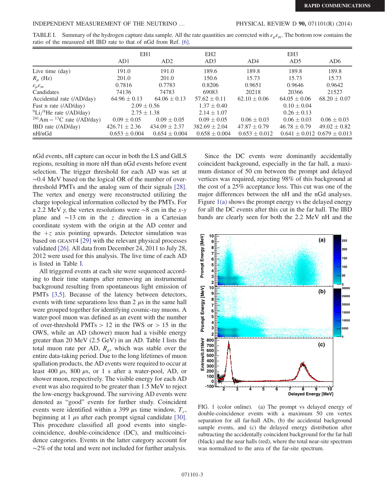<span id="page-2-0"></span>TABLE I. Summary of the hydrogen capture data sample. All the rate quantities are corrected with  $\varepsilon_{\mu}\varepsilon_{m}$ . The bottom row contains the ratio of the measured nH IBD rate to that of nGd from Ref. [\[6\]](#page-6-5).

|                                              | EH1               |                   | EH <sub>2</sub>   | EH <sub>3</sub>   |                                     |                  |
|----------------------------------------------|-------------------|-------------------|-------------------|-------------------|-------------------------------------|------------------|
|                                              | AD1               | AD2               | AD3               | AD4               | AD <sub>5</sub>                     | AD <sub>6</sub>  |
| Live time (day)                              | 191.0             | 191.0             | 189.6             | 189.8             | 189.8                               | 189.8            |
| $R_{\mu}$ (Hz)                               | 201.0             | 201.0             | 150.6             | 15.73             | 15.73                               | 15.73            |
| $\varepsilon_{\mu}\varepsilon_m$             | 0.7816            | 0.7783            | 0.8206            | 0.9651            | 0.9646                              | 0.9642           |
| Candidates                                   | 74136             | 74783             | 69083             | 20218             | 20366                               | 21527            |
| Accidental rate (/AD/day)                    | $64.96 \pm 0.13$  | $64.06 \pm 0.13$  | $57.62 \pm 0.11$  | $62.10 \pm 0.06$  | $64.05 \pm 0.06$                    | $68.20 \pm 0.07$ |
| Fast n rate (/AD/day)                        | $2.09 \pm 0.56$   |                   | $1.37 \pm 0.40$   |                   | $0.10 \pm 0.04$                     |                  |
| $^{9}$ Li/ <sup>8</sup> He rate (/AD/day)    | $2.75 \pm 1.38$   |                   | $2.14 \pm 1.07$   |                   | $0.26 \pm 0.13$                     |                  |
| $^{241}$ Am – <sup>13</sup> C rate (/AD/day) | $0.09 \pm 0.05$   | $0.09 \pm 0.05$   | $0.09 \pm 0.05$   | $0.06 \pm 0.03$   | $0.06 \pm 0.03$                     | $0.06 \pm 0.03$  |
| IBD rate (/AD/day)                           | $426.71 \pm 2.36$ | $434.09 \pm 2.37$ | $382.69 \pm 2.04$ | $47.87 \pm 0.79$  | $46.78 \pm 0.79$                    | $49.02 \pm 0.82$ |
| nH/nGd                                       | $0.653 \pm 0.004$ | $0.654 \pm 0.004$ | $0.658 \pm 0.004$ | $0.653 \pm 0.012$ | $0.641 \pm 0.012$ $0.679 \pm 0.013$ |                  |

nGd events, nH capture can occur in both the LS and GdLS regions, resulting in more nH than nGd events before event selection. The trigger threshold for each AD was set at ∼0.4 MeV based on the logical OR of the number of overthreshold PMTs and the analog sum of their signals [\[28\]](#page-6-9). The vertex and energy were reconstructed utilizing the charge topological information collected by the PMTs. For a 2.2 MeV  $\gamma$ , the vertex resolutions were ∼8 cm in the x-y plane and ∼13 cm in the z direction in a Cartesian coordinate system with the origin at the AD center and the  $+z$  axis pointing upwards. Detector simulation was based on GEANT4 [\[29\]](#page-6-10) with the relevant physical processes validated [\[26\]](#page-6-8). All data from December 24, 2011 to July 28, 2012 were used for this analysis. The live time of each AD is listed in Table [I](#page-2-0).

All triggered events at each site were sequenced according to their time stamps after removing an instrumental background resulting from spontaneous light emission of PMTs [\[3,5\].](#page-6-1) Because of the latency between detectors, events with time separations less than  $2 \mu s$  in the same hall were grouped together for identifying cosmic-ray muons. A water-pool muon was defined as an event with the number of over-threshold PMTs  $> 12$  in the IWS or  $> 15$  in the OWS, while an AD (shower) muon had a visible energy greater than 20 MeV (2.5 GeV) in an AD. Table [I](#page-2-0) lists the total muon rate per AD,  $R_{\mu}$ , which was stable over the entire data-taking period. Due to the long lifetimes of muon spallation products, the AD events were required to occur at least 400  $\mu$ s, 800  $\mu$ s, or 1 s after a water-pool, AD, or shower muon, respectively. The visible energy for each AD event was also required to be greater than 1.5 MeV to reject the low-energy background. The surviving AD events were denoted as "good" events for further study. Coincident events were identified within a 399  $\mu$ s time window,  $T_c$ , beginning at 1  $\mu$ s after each prompt signal candidate [\[30\]](#page-6-11). This procedure classified all good events into singlecoincidence, double-coincidence (DC), and multicoincidence categories. Events in the latter category account for  $~\sim$ 2% of the total and were not included for further analysis.

Since the DC events were dominantly accidentally coincident background, especially in the far hall, a maximum distance of 50 cm between the prompt and delayed vertices was required, rejecting 98% of this background at the cost of a 25% acceptance loss. This cut was one of the major differences between the nH and the nGd analyses. Figure [1\(a\)](#page-2-1) shows the prompt energy vs the delayed energy for all the DC events after this cut in the far hall. The IBD bands are clearly seen for both the 2.2 MeV nH and the

<span id="page-2-1"></span>

FIG. 1 (color online). (a) The prompt vs delayed energy of double-coincidence events with a maximum 50 cm vertex separation for all far-hall ADs, (b) the accidental background sample events, and (c) the delayed energy distribution after subtracting the accidentally coincident background for the far hall (black) and the near halls (red), where the total near-site spectrum was normalized to the area of the far-site spectrum.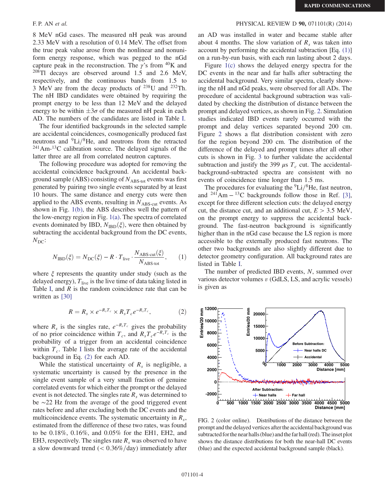8 MeV nGd cases. The measured nH peak was around 2.33 MeV with a resolution of 0.14 MeV. The offset from the true peak value arose from the nonlinear and nonuniform energy response, which was pegged to the nGd capture peak in the reconstruction. The  $\gamma$ 's from <sup>40</sup>K and  $208$ Tl decays are observed around 1.5 and 2.6 MeV, respectively, and the continuous bands from 1.5 to 3 MeV are from the decay products of  $^{238}$ U and  $^{232}$ Th. The nH IBD candidates were obtained by requiring the prompt energy to be less than 12 MeV and the delayed energy to be within  $\pm 3\sigma$  of the measured nH peak in each AD. The numbers of the candidates are listed in Table [I.](#page-2-0)

The four identified backgrounds in the selected sample are accidental coincidences, cosmogenically produced fast neutrons and  ${}^{9}Li/{}^{8}He$ , and neutrons from the retracted  $241$ Am- $13$ C calibration source. The delayed signals of the latter three are all from correlated neutron captures.

The following procedure was adopted for removing the accidental coincidence background. An accidental background sample (ABS) consisting of  $N_{\text{ABS-tot}}$  events was first generated by pairing two single events separated by at least 10 hours. The same distance and energy cuts were then applied to the ABS events, resulting in  $N_{\text{ABS-cut}}$  events. As shown in Fig. [1\(b\)](#page-2-1), the ABS describes well the pattern of the low-energy region in Fig. [1\(a\)](#page-2-1). The spectra of correlated events dominated by IBD,  $N_{IBD}(\xi)$ , were then obtained by subtracting the accidental background from the DC events,  $N_{\rm DC}$ :

<span id="page-3-1"></span>
$$
N_{\mathrm{IBD}}(\xi) = N_{\mathrm{DC}}(\xi) - R \cdot T_{\mathrm{live}} \cdot \frac{N_{\mathrm{ABS-cut}}(\xi)}{N_{\mathrm{ABS-tot}}},\qquad(1)
$$

<span id="page-3-0"></span>where  $\xi$  represents the quantity under study (such as the delayed energy),  $T_{\text{live}}$  is the live time of data taking listed in Table [I,](#page-2-0) and  $R$  is the random coincidence rate that can be written as [\[30\]](#page-6-11)

$$
R = R_s \times e^{-R_s T_c} \times R_s T_c e^{-R_s T_c}, \qquad (2)
$$

where  $R_s$  is the singles rate,  $e^{-R_sT_c}$  gives the probability of no prior coincidence within  $T_c$ , and  $R_sT_ce^{-R_sT_c}$  is the probability of a trigger from an accidental coincidence within  $T_c$ . Table [I](#page-2-0) lists the average rate of the accidental background in Eq. [\(2\)](#page-3-0) for each AD.

While the statistical uncertainty of  $R_s$  is negligible, a systematic uncertainty is caused by the presence in the single event sample of a very small fraction of genuine correlated events for which either the prompt or the delayed event is not detected. The singles rate  $R<sub>s</sub>$  was determined to be ∼22 Hz from the average of the good triggered event rates before and after excluding both the DC events and the multicoincidence events. The systematic uncertainty in  $R_s$ , estimated from the difference of these two rates, was found to be 0.18%, 0.16%, and 0.05% for the EH1, EH2, and EH3, respectively. The singles rate  $R_s$  was observed to have a slow downward trend  $\left($  < 0.36%/day) immediately after

## F. P. AN *et al.* PHYSICAL REVIEW D **90**, 071101(R) (2014)

an AD was installed in water and became stable after about 4 months. The slow variation of  $R_s$  was taken into account by performing the accidental subtraction [Eq. [\(1\)\]](#page-3-1) on a run-by-run basis, with each run lasting about 2 days.

Figure [1\(c\)](#page-2-1) shows the delayed energy spectra for the DC events in the near and far halls after subtracting the accidental background. Very similar spectra, clearly showing the nH and nGd peaks, were observed for all ADs. The procedure of accidental background subtraction was validated by checking the distribution of distance between the prompt and delayed vertices, as shown in Fig. [2.](#page-3-2) Simulation studies indicated IBD events rarely occurred with the prompt and delay vertices separated beyond 200 cm. Figure [2](#page-3-2) shows a flat distribution consistent with zero for the region beyond 200 cm. The distribution of the difference of the delayed and prompt times after all other cuts is shown in Fig. [3](#page-4-0) to further validate the accidental subtraction and justify the 399  $\mu$ s  $T_c$  cut. The accidentalbackground-subtracted spectra are consistent with no events of coincidence time longer than 1.5 ms.

The procedures for evaluating the  ${}^{9}Li/{}^{8}He$ , fast neutron, and  $^{241}$ Am –  $^{13}$ C backgrounds follow those in Ref. [\[3\]](#page-6-1), except for three different selection cuts: the delayed energy cut, the distance cut, and an additional cut,  $E > 3.5$  MeV, on the prompt energy to suppress the accidental background. The fast-neutron background is significantly higher than in the nGd case because the LS region is more accessible to the externally produced fast neutrons. The other two backgrounds are also slightly different due to detector geometry configuration. All background rates are listed in Table [I.](#page-2-0)

The number of predicted IBD events, N, summed over various detector volumes  $v$  (GdLS, LS, and acrylic vessels) is given as

<span id="page-3-2"></span>

FIG. 2 (color online). Distributions of the distance between the prompt and the delayed vertices after the accidental background was subtracted for the near halls (blue) and the far hall (red). The inset plot shows the distance distributions for both the near-hall DC events (blue) and the expected accidental background sample (black).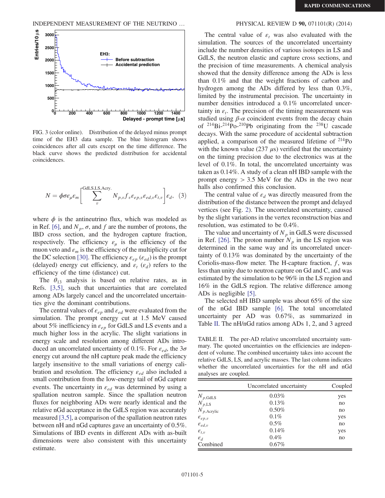INDEPENDENT MEASUREMENT OF THE NEUTRINO … PHYSICAL REVIEW D 90, 071101(R) (2014)

<span id="page-4-0"></span>

FIG. 3 (color online). Distribution of the delayed minus prompt time of the EH3 data sample. The blue histogram shows coincidences after all cuts except on the time difference. The black curve shows the predicted distribution for accidental coincidences.

$$
N = \phi \sigma \varepsilon_{\mu} \varepsilon_{m} \left[ \sum_{v}^{\text{GdLS}, \text{LS}, \text{Acry.}} N_{p,v} f_{v} \varepsilon_{ep,v} \varepsilon_{ed,v} \varepsilon_{t,v} \right] \varepsilon_{d}, \quad (3)
$$

where  $\phi$  is the antineutrino flux, which was modeled as in Ref. [\[6\],](#page-6-5) and  $N_p$ ,  $\sigma$ , and f are the number of protons, the IBD cross section, and the hydrogen capture fraction, respectively. The efficiency  $\varepsilon_{\mu}$  is the efficiency of the muon veto and  $\varepsilon_m$  is the efficiency of the multiplicity cut for the DC selection [\[30\].](#page-6-11) The efficiency  $\varepsilon_{ep}$  ( $\varepsilon_{ed}$ ) is the prompt (delayed) energy cut efficiency, and  $\varepsilon_t$  ( $\varepsilon_d$ ) refers to the efficiency of the time (distance) cut.

The  $\theta_{13}$  analysis is based on relative rates, as in Refs. [\[3,5\],](#page-6-1) such that uncertainties that are correlated among ADs largely cancel and the uncorrelated uncertainties give the dominant contributions.

The central values of  $\varepsilon_{ep}$  and  $\varepsilon_{ed}$  were evaluated from the simulation. The prompt energy cut at 1.5 MeV caused about 5% inefficiency in  $\varepsilon_{ep}$  for GdLS and LS events and a much higher loss in the acrylic. The slight variations in energy scale and resolution among different ADs introduced an uncorrelated uncertainty of 0.1%. For  $\varepsilon_{ed}$ , the  $3\sigma$ energy cut around the nH capture peak made the efficiency largely insensitive to the small variations of energy calibration and resolution. The efficiency  $\varepsilon_{ed}$  also included a small contribution from the low-energy tail of nGd capture events. The uncertainty in  $\varepsilon_{ed}$  was determined by using a spallation neutron sample. Since the spallation neutron fluxes for neighboring ADs were nearly identical and the relative nGd acceptance in the GdLS region was accurately measured [\[3,5\],](#page-6-1) a comparison of the spallation neutron rates between nH and nGd captures gave an uncertainty of 0.5%. Simulations of IBD events in different ADs with as-built dimensions were also consistent with this uncertainty estimate.

The central value of  $\varepsilon_t$  was also evaluated with the simulation. The sources of the uncorrelated uncertainty include the number densities of various isotopes in LS and GdLS, the neutron elastic and capture cross sections, and the precision of time measurements. A chemical analysis showed that the density difference among the ADs is less than 0.1% and that the weight fractions of carbon and hydrogen among the ADs differed by less than 0.3%, limited by the instrumental precision. The uncertainty in number densities introduced a 0.1% uncorrelated uncertainty in  $\varepsilon_t$ . The precision of the timing measurement was studied using  $\beta$ - $\alpha$  coincident events from the decay chain of <sup>214</sup>Bi-<sup>214</sup>Po-<sup>210</sup>Pb originating from the <sup>238</sup>U cascade decays. With the same procedure of accidental subtraction applied, a comparison of the measured lifetime of <sup>214</sup>Po with the known value (237  $\mu$ s) verified that the uncertainty on the timing precision due to the electronics was at the level of 0.1%. In total, the uncorrelated uncertainty was taken as 0.14%. A study of a clean nH IBD sample with the prompt energy  $> 3.5$  MeV for the ADs in the two near halls also confirmed this conclusion.

The central value of  $\varepsilon_d$  was directly measured from the distribution of the distance between the prompt and delayed vertices (see Fig. [2\)](#page-3-2). The uncorrelated uncertainty, caused by the slight variations in the vertex reconstruction bias and resolution, was estimated to be 0.4%.

The value and uncertainty of  $N_p$  in GdLS were discussed in Ref. [\[26\]](#page-6-8). The proton number  $N_p$  in the LS region was determined in the same way and its uncorrelated uncertainty of 0.13% was dominated by the uncertainty of the Coriolis-mass-flow meter. The H-capture fraction,  $f$ , was less than unity due to neutron capture on Gd and C, and was estimated by the simulation to be 96% in the LS region and 16% in the GdLS region. The relative difference among ADs is negligible [\[5\]](#page-6-12).

The selected nH IBD sample was about 65% of the size of the nGd IBD sample [\[6\].](#page-6-5) The total uncorrelated uncertainty per AD was 0.67%, as summarized in Table [II](#page-4-1). The nH/nGd ratios among ADs 1, 2, and 3 agreed

<span id="page-4-1"></span>TABLE II. The per-AD relative uncorrelated uncertainty summary. The quoted uncertainties on the efficiencies are independent of volume. The combined uncertainty takes into account the relative GdLS, LS, and acrylic masses. The last column indicates whether the uncorrelated uncertainties for the nH and nGd analyses are coupled.

|                        | Uncorrelated uncertainty | Coupled |  |
|------------------------|--------------------------|---------|--|
| $N_{p,\text{GdLS}}$    | 0.03%                    | yes     |  |
| $N_{p,\text{LS}}$      | 0.13%                    | no      |  |
| $N_{p,\text{Acrylic}}$ | 0.50%                    | no      |  |
| $\varepsilon_{ep,v}$   | $0.1\%$                  | yes     |  |
| $\varepsilon_{ed,v}$   | $0.5\%$                  | no      |  |
| $\varepsilon_{t,v}$    | 0.14%                    | yes     |  |
| $\mathcal{E}_d$        | $0.4\%$                  | no      |  |
| Combined               | $0.67\%$                 |         |  |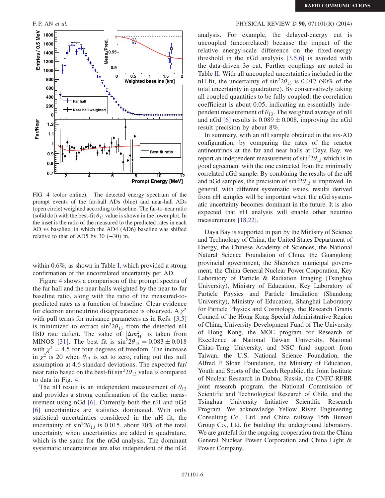<span id="page-5-0"></span>

FIG. 4 (color online). The detected energy spectrum of the prompt events of the far-hall ADs (blue) and near-hall ADs (open circle) weighted according to baseline. The far-to-near ratio (solid dot) with the best-fit  $\theta_{13}$  value is shown in the lower plot. In the inset is the ratio of the measured to the predicted rates in each AD vs baseline, in which the AD4 (AD6) baseline was shifted relative to that of AD5 by 30  $(-30)$  m.

within 0.6%, as shown in Table [I](#page-2-0), which provided a strong confirmation of the uncorrelated uncertainty per AD.

Figure [4](#page-5-0) shows a comparison of the prompt spectra of the far hall and the near halls weighted by the near-to-far baseline ratio, along with the ratio of the measured-topredicted rates as a function of baseline. Clear evidence for electron antineutrino disappearance is observed. A  $\chi^2$ with pull terms for nuisance parameters as in Refs. [\[3,5\]](#page-6-1) is minimized to extract  $\sin^2 2\theta_{13}$  from the detected nH IBD rate deficit. The value of  $|\Delta m_{31}^2|$  is taken from MINOS [\[31\]](#page-6-13). The best fit is  $\sin^2 2\theta_{13} = 0.083 \pm 0.018$ with  $\chi^2 = 4.5$  for four degrees of freedom. The increase in  $\chi^2$  is 20 when  $\theta_{13}$  is set to zero, ruling out this null assumption at 4.6 standard deviations. The expected far/ near ratio based on the best-fit  $\sin^2 2\theta_{13}$  value is compared to data in Fig. [4](#page-5-0).

The nH result is an independent measurement of  $\theta_{13}$ and provides a strong confirmation of the earlier measurement using nGd [\[6\]](#page-6-5). Currently both the nH and nGd [\[6\]](#page-6-5) uncertainties are statistics dominated. With only statistical uncertainties considered in the nH fit, the uncertainty of  $\sin^2 2\theta_{13}$  is 0.015, about 70% of the total uncertainty when uncertainties are added in quadrature, which is the same for the nGd analysis. The dominant systematic uncertainties are also independent of the nGd

# F. P. AN *et al.* PHYSICAL REVIEW D **90,** 071101(R) (2014)

analysis. For example, the delayed-energy cut is uncoupled (uncorrelated) because the impact of the relative energy-scale difference on the fixed-energy threshold in the nGd analysis [\[3,5,6\]](#page-6-1) is avoided with the data-driven  $3\sigma$  cut. Further couplings are noted in Table [II](#page-4-1). With all uncoupled uncertainties included in the nH fit, the uncertainty of  $\sin^2 2\theta_{13}$  is 0.017 (90% of the total uncertainty in quadrature). By conservatively taking all coupled quantities to be fully coupled, the correlation coefficient is about 0.05, indicating an essentially independent measurement of  $\theta_{13}$ . The weighted average of nH and nGd [\[6\]](#page-6-5) results is  $0.089 \pm 0.008$ , improving the nGd result precision by about 8%.

In summary, with an nH sample obtained in the six-AD configuration, by comparing the rates of the reactor antineutrinos at the far and near halls at Daya Bay, we report an independent measurement of  $\sin^2 2\theta_{13}$  which is in good agreement with the one extracted from the minimally correlated nGd sample. By combining the results of the nH and nGd samples, the precision of  $\sin^2 2\theta_{13}$  is improved. In general, with different systematic issues, results derived from nH samples will be important when the nGd systematic uncertainty becomes dominant in the future. It is also expected that nH analysis will enable other neutrino measurements [\[18,22\]](#page-6-6).

Daya Bay is supported in part by the Ministry of Science and Technology of China, the United States Department of Energy, the Chinese Academy of Sciences, the National Natural Science Foundation of China, the Guangdong provincial government, the Shenzhen municipal government, the China General Nuclear Power Corporation, Key Laboratory of Particle & Radiation Imaging (Tsinghua University), Ministry of Education, Key Laboratory of Particle Physics and Particle Irradiation (Shandong University), Ministry of Education, Shanghai Laboratory for Particle Physics and Cosmology, the Research Grants Council of the Hong Kong Special Administrative Region of China, University Development Fund of The University of Hong Kong, the MOE program for Research of Excellence at National Taiwan University, National Chiao-Tung University, and NSC fund support from Taiwan, the U.S. National Science Foundation, the Alfred P. Sloan Foundation, the Ministry of Education, Youth and Sports of the Czech Republic, the Joint Institute of Nuclear Research in Dubna, Russia, the CNFC-RFBR joint research program, the National Commission of Scientific and Technological Research of Chile, and the Tsinghua University Initiative Scientific Research Program. We acknowledge Yellow River Engineering Consulting Co., Ltd. and China railway 15th Bureau Group Co., Ltd. for building the underground laboratory. We are grateful for the ongoing cooperation from the China General Nuclear Power Corporation and China Light & Power Company.